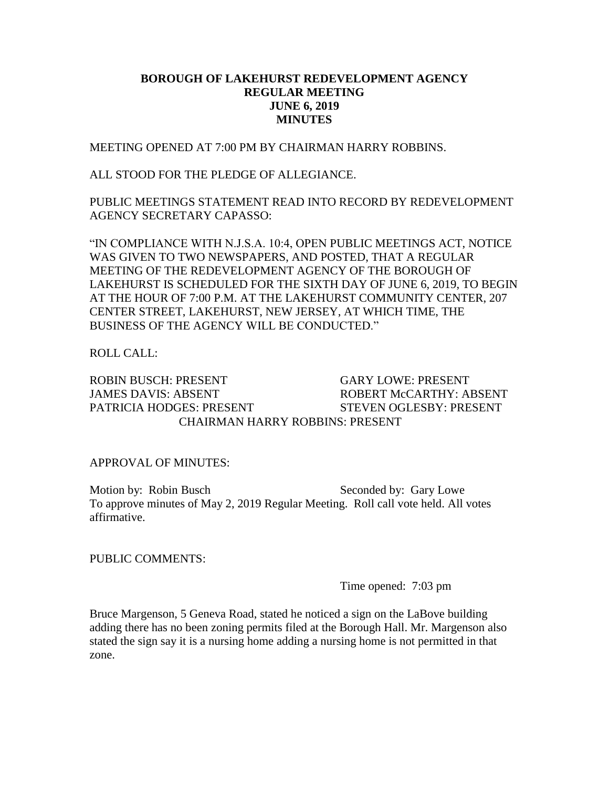## **BOROUGH OF LAKEHURST REDEVELOPMENT AGENCY REGULAR MEETING JUNE 6, 2019 MINUTES**

MEETING OPENED AT 7:00 PM BY CHAIRMAN HARRY ROBBINS.

ALL STOOD FOR THE PLEDGE OF ALLEGIANCE.

PUBLIC MEETINGS STATEMENT READ INTO RECORD BY REDEVELOPMENT AGENCY SECRETARY CAPASSO:

"IN COMPLIANCE WITH N.J.S.A. 10:4, OPEN PUBLIC MEETINGS ACT, NOTICE WAS GIVEN TO TWO NEWSPAPERS, AND POSTED, THAT A REGULAR MEETING OF THE REDEVELOPMENT AGENCY OF THE BOROUGH OF LAKEHURST IS SCHEDULED FOR THE SIXTH DAY OF JUNE 6, 2019, TO BEGIN AT THE HOUR OF 7:00 P.M. AT THE LAKEHURST COMMUNITY CENTER, 207 CENTER STREET, LAKEHURST, NEW JERSEY, AT WHICH TIME, THE BUSINESS OF THE AGENCY WILL BE CONDUCTED."

ROLL CALL:

ROBIN BUSCH: PRESENT GARY LOWE: PRESENT JAMES DAVIS: ABSENT ROBERT McCARTHY: ABSENT PATRICIA HODGES: PRESENT STEVEN OGLESBY: PRESENT CHAIRMAN HARRY ROBBINS: PRESENT

APPROVAL OF MINUTES:

Motion by: Robin Busch Seconded by: Gary Lowe To approve minutes of May 2, 2019 Regular Meeting. Roll call vote held. All votes affirmative.

PUBLIC COMMENTS:

Time opened: 7:03 pm

Bruce Margenson, 5 Geneva Road, stated he noticed a sign on the LaBove building adding there has no been zoning permits filed at the Borough Hall. Mr. Margenson also stated the sign say it is a nursing home adding a nursing home is not permitted in that zone.